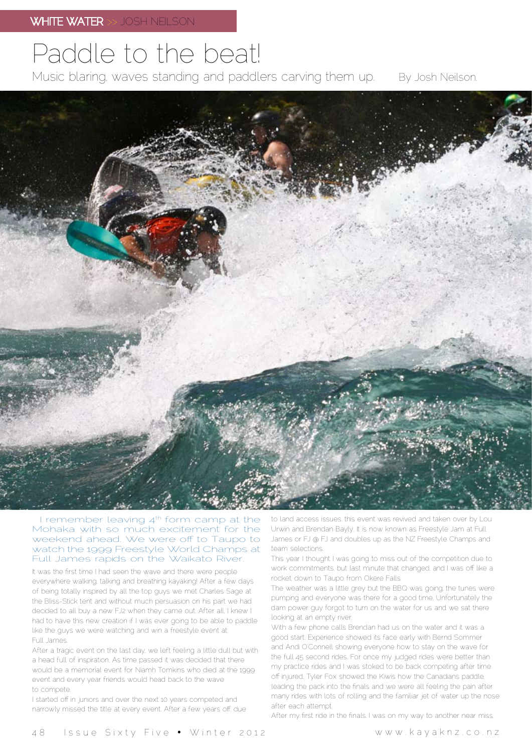## Paddle to the beat!

By Josh Neilson. Music blaring, waves standing and paddlers carving them up.



I remember leaving  $4<sup>th</sup>$  form camp at the Mohaka with so much excitement for the weekend ahead. We were off to Taupo to watch the 1999 Freestyle World Champs at Full James rapids on the Waikato River.

It was the first time I had seen the wave and there were people everywhere walking, talking and breathing kayaking! After a few days of being totally inspired by all the top guys we met Charles Sage at the Bliss-Stick tent and without much persuasion on his part we had decided to all buy a new FJ2 when they came out. After all, I knew I had to have this new creation if I was ever going to be able to paddle like the guys we were watching and win a freestyle event at Full James.

After a tragic event on the last day, we left feeling a little dull but with a head full of inspiration. As time passed it was decided that there would be a memorial event for Niamh Tomkins who died at the 1999 event and every year friends would head back to the wave to compete.

I started off in juniors and over the next 10 years competed and narrowly missed the title at every event. After a few years off, due to land access issues, this event was revived and taken over by Lou Urwin and Brendan Bayly. It is now known as Freestyle Jam at Full James or FJ @ FJ and doubles up as the NZ Freestyle Champs and team selections.

This year I thought I was going to miss out of the competition due to work commitments, but last minute that changed, and I was off like a rocket, down to Taupo from Okere Falls.

The weather was a little grey but the BBQ was going, the tunes were pumping and everyone was there for a good time. Unfortunately the dam power guy forgot to turn on the water for us and we sat there looking at an empty river.

With a few phone calls Brendan had us on the water and it was a good start. Experience showed its face early with Bernd Sommer and Andi O'Connell showing everyone how to stay on the wave for the full 45 second rides. For once my judged rides were better than my practice rides and I was stoked to be back competing after time off injured. Tyler Fox showed the Kiwis how the Canadians paddle, leading the pack into the finals and we were all feeling the pain after many rides with lots of rolling and the familiar jet of water up the nose after each attempt.

After my first ride in the finals, I was on my way to another near miss,